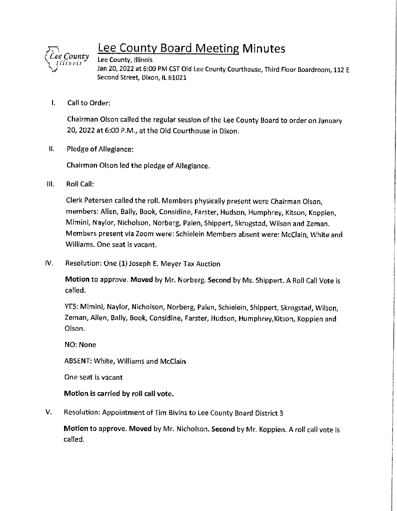

## Lee County Board Meeting **Minutes**

Lee County, Illinois Jan 20, 2022 at 6:00 PM CST Old Lee County Courthouse, Third Floor Boardroom, 112 E Second Street, Dixon, IL 61021

I. Call to Order:

Chairman Olson called the regular session of the Lee County Board to order on January 20, 2022 at 6:00 P.M., at the Old Courthouse in Dixon.

II. Pledge of Allegiance:

Chairman Olson led the pledge of Allegiance.

Ill. Roll Call:

Clerk Petersen called the roll. Members physically present were Chairman Olson, members: Allen, Bally, Book, Considine, Farster, Hudson, Humphrey, Kitson, Koppien, Mimini, Naylor, Nicholson, Norberg, Palen, Shippert, Skrogstad, Wilson and Zeman. Members present via Zoom were: Schielein Members absent were: McClain, White and Williams. One seat is vacant.

IV. Resolution: One (1) Joseph E. Meyer Tax Auction

**Motion** to approve. **Moved** by Mr. Norberg. **Second** by Ms. Shippert. A Roll Call Vote is called.

YES: Mimini, Naylor, Nicholson, Norberg, Palen, Schielein, Shippert, Skrogstad, Wilson, Zeman, Allen, Bally, Book, Considine, Farster, Hudson, Humphrey,Kitson, Koppien and Olson.

NO: None

ABSENT: White, Williams and McClain

One seat is vacant

#### **Motion Is carried by roll call vote.**

V. Resolution: Appointment of Tim Bivins to Lee County Board District 3

**Motion** to approve. **Moved** by Mr. Nicholson. **Second** by Mr. Koppien. A roll call vote is called.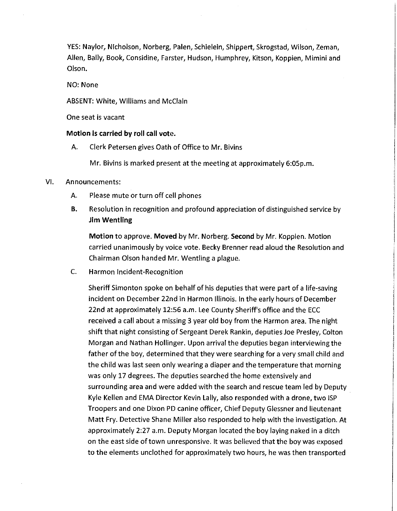YES: Naylor, Nicholson, Norberg, Palen, Schielein, Shippert, Skrogstad, Wilson, Zeman, Allen, Bally, Book, Considine, Farster, Hudson, Humphrey, Kitson, Koppien, Mimini and Olson.

#### NO: None

#### ABSENT: White, Williams and McClain

One seat is vacant

#### **Motion is carried by roll call vote.**

A. Clerk Petersen gives Oath of Office to Mr. Bivins

Mr. Bivins is marked present at the meeting at approximately 6:0Sp.m.

#### VI. Announcements:

- A. Please mute or turn off cell phones
- **B.** Resolution in recognition and profound appreciation of distinguished service by **Jim Wentling**

**Motion** to approve. **Moved** by Mr. Norberg. **Second** by Mr. Koppien. Motion carried unanimously by voice vote. Becky Brenner read aloud the Resolution and Chairman Olson handed Mr. Wentling a plague.

C. Harmon Incident-Recognition

Sheriff Simonton spoke on behalf of his deputies that were part of a life-saving incident on December 22nd in Harmon Illinois. In the early hours of December 22nd at approximately 12:56 a.m. Lee County Sheriff's office and the ECC received a call about a missing 3 year old boy from the Harmon area. The night shift that night consisting of Sergeant Derek Rankin, deputies Joe Presley, Colton Morgan and Nathan Hollinger. Upon arrival the deputies began interviewing the father of the boy, determined that they were searching for a very small child and the child was last seen only wearing a diaper and the temperature that morning was only 17 degrees. The deputies searched the home extensively and surrounding area and were added with the search and rescue team led by Deputy Kyle Kellen and EMA Director Kevin Lally, also responded with a drone, two ISP Troopers and one Dixon PD canine officer, Chief Deputy Glessner and lieutenant Matt Fry. Detective Shane Miller also responded to help with the investigation. At approximately 2:27 a.m. Deputy Morgan located the boy laying naked in a ditch on the east side of town unresponsive. It was believed that the boy was exposed to the elements unclothed for approximately two hours, he was then transported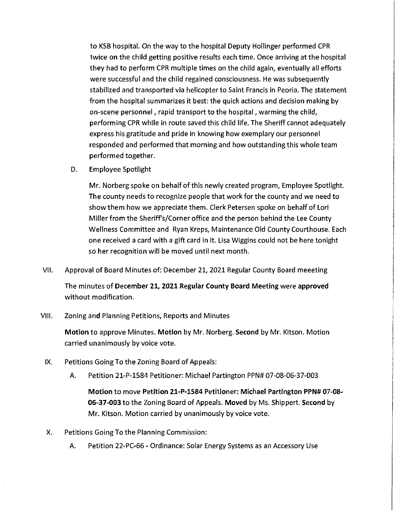to KSB hospital. On the way to the hospital Deputy Hollinger performed CPR twice on the child getting positive results each time. Once arriving at the hospital they had to perform CPR multiple times on the child again, eventually all efforts were successful and the child regained consciousness. He was subsequently stabilized and transported via helicopter to Saint Francis in Peoria. The statement from the hospital summarizes it best: the quick actions and decision making by on-scene personnel, rapid transport to the hospital, warming the child, performing CPR while in route saved this child life. The Sheriff cannot adequately express his gratitude and pride in knowing how exemplary our personnel responded and performed that morning and how outstanding this whole team performed together.

D. Employee Spotlight

Mr. Norberg spoke on behalf ofthis newly created program, Employee Spotlight. The county needs to recognize people that work for the county and we need to show them how we appreciate them. Clerk Petersen spoke on behalf of Lori Miller from the Sheriff's/Corner office and the person behind the Lee County Wellness Committee and Ryan Kreps, Maintenance Old County Courthouse. Each one received a card with a gift card in it. Lisa Wiggins could not be here tonight so her recognition will be moved until next month.

VII. Approval of Board Minutes of: December 21, 2021 Regular County Board meeeting

The minutes of **December 21, 2021 Regular County Board Meeting** were **approved**  without modification.

VIII. Zoning and Planning Petitions, Reports and Minutes

**Motion** to approve Minutes. **Motion** by Mr. Norberg. **Second** by **Mr.** Kitson. Motion carried unanimously by voice vote.

- IX. Petitions Going To the Zoning Board of Appeals:
	- A. Petition 21-P-1584 Petitioner: Michael Partington PPN# 07-08-06-37-003

**Motion** to move **Petition 21-P-1S84 Petitioner: Michael Partington PPN# 07-08- 06-37-003** to the Zoning Board of Appeals. **Moved** by Ms. Shippert. **Second** by Mr. Kitson. Motion carried by unanimously by voice vote.

- X. Petitions Going To the Planning Commission:
	- A. Petition 22-PC-66 Ordinance: Solar Energy Systems as an Accessory Use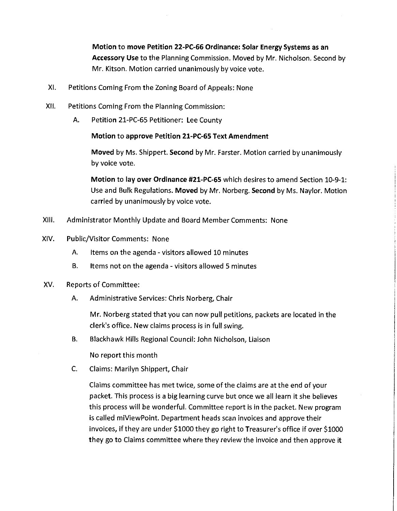**Motion to move Petition 22-PC-66 Ordinance: Solar Energy Systems as an Accessory Use** to the Planning Commission. Moved by Mr. Nicholson. Second by Mr. Kitson. Motion carried unanimously by voice vote.

- XI. Petitions Coming From the Zoning Board of Appeals: None
- XII. Petitions Coming From the Planning Commission:
	- A. Petition 21-PC-65 Petitioner: Lee County

#### **Motion to approve Petition 21-PC-65 Text Amendment**

**Moved** by Ms. Shippert. **Second** by Mr. Farster. Motion carried by unanimously by voice vote.

**Motion to lay over Ordinance #21-PC-65** which desires to amend Section 10-9-1: Use and Bulk Regulations. **Moved** by Mr. Norberg. **Second** by Ms. Naylor. Motion carried by unanimously by voice vote.

- XIII. Administrator Monthly Update and Board Member Comments: None
- XIV. Public/Visitor Comments: None
	- A. Items on the agenda visitors allowed 10 minutes
	- B. Items not on the agenda visitors allowed 5 minutes
- XV. Reports of Committee:
	- A. Administrative Services: Chris Norberg, Chair

Mr. Norberg stated that you can now pull petitions, packets are located in the clerk's office. New claims process is in full swing.

B. Blackhawk Hills Regional Council: John Nicholson, Liaison

No report this month

C. Claims: Marilyn Shippert, Chair

Claims committee has met twice, some of the claims are at the end of your packet. This process is a big learning curve but once we all learn it she believes this process will be wonderful. Committee report is in the packet. New program is called miViewPoint. Department heads scan invoices and approve their invoices, if they are under \$1000 they go right to Treasurer's office if over \$1000 they go to Claims committee where they review the invoice and then approve it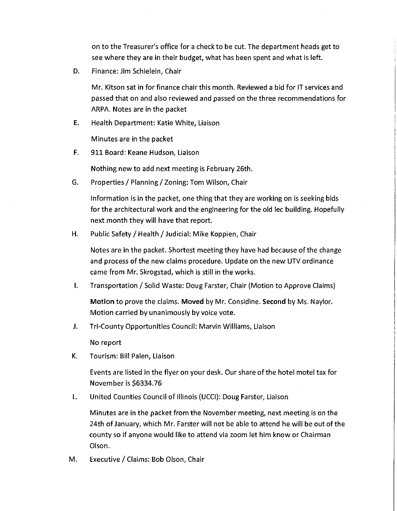on to the Treasurer's office for a check to be cut. The department heads get to see where they are in their budget, what has been spent and what is left.

D. Finance: Jim Schielein, Chair

Mr. Kitson sat in for finance chair this month. Reviewed a bid for IT services and passed that on and also reviewed and passed on the three recommendations for ARPA. Notes are in the packet

E. Health Department: Katie White, Liaison

Minutes are in the packet

F. 911 Board: Keane Hudson, Liaison

Nothing new to add next meeting is February 26th.

G. Properties/ Planning/ Zoning: Tom Wilson, Chair

Information is in the packet, one thing that they are working on is seeking bids for the architectural work and the engineering for the old lee building. Hopefully next month they will have that report.

H. Public Safety/ Health/ Judicial: Mike Koppien, Chair

Notes are in the packet. Shortest meeting they have had because of the change and process of the new claims procedure. Update on the new UTV ordinance came from Mr. Skrogstad, which is still in the works.

I. Transportation/ Solid Waste: Doug Farster, Chair (Motion to Approve Claims)

**Motion** to prove the claims. **Moved** by Mr. Considine. **Second** by Ms. Naylor. Motion carried by unanimously by *voice vote.* 

J. Tri-County Opportunities Council: Marvin Williams, Liaison

No report

K. Tourism: Bill Palen, Liaison

Events are listed in the flyer on your desk. Our share of the hotel motel tax for November is \$6334.76

L. United Counties Council of Illinois (UCCI): Doug Farster, Liaison

Minutes are in the packet from the November meeting, next meeting is on the 24th of January, which Mr. Farster will not be able to attend he will be out of the county so if anyone would like to attend via zoom let him know or Chairman Olson.

M. Executive/ Claims: Bob Olson, Chair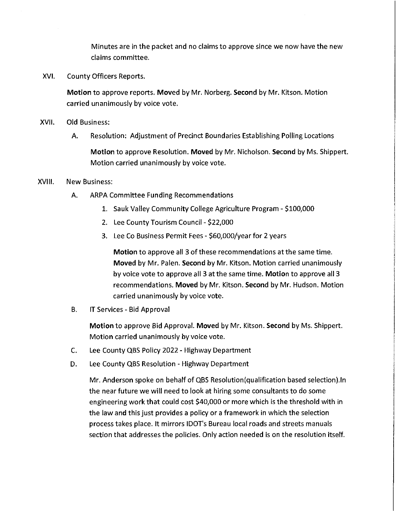Minutes are in the packet and no claims to approve since we now have the new claims committee.

XVI. County Officers Reports.

**Motion** to approve reports. **Moved** by Mr. Norberg. **Second** by Mr. Kitson. Motion carried unanimously by voice vote.

- XVII. Old Business:
	- A. Resolution: Adjustment of Precinct Boundaries Establishing Polling Locations

**Motion** to approve Resolution. **Moved** by Mr. Nicholson. **Second** by Ms. Shippert. Motion carried unanimously by voice vote.

#### XVIII. New Business:

- A. ARPA Committee Funding Recommendations
	- 1. Sauk Valley Community College Agriculture Program \$100,000
	- 2. Lee County Tourism Council \$22,000
	- 3. Lee Co Business Permit Fees \$60,000/year for 2 years

**Motion** to approve all 3 of these recommendations at the same time. **Moved** by Mr. Palen. **Second** by Mr. Kitson. Motion carried unanimously by voice vote to approve all 3 at the same time. **Motion** to approve all 3 recommendations. **Moved** by Mr. Kitson. **Second** by Mr. Hudson. Motion carried unanimously by voice vote.

B. IT Services - Bid Approval

**Motion** to approve Bid Approval. **Moved** by Mr. Kitson. **Second** by Ms. Shippert. Motion carried unanimously by voice vote.

- C. Lee County QBS Policy 2022 Highway Department
- D. Lee County QBS Resolution Highway Department

Mr. Anderson spoke on behalf of QBS Resolution(qualification based selection).ln the near future we will need to look at hiring some consultants to do some engineering work that could cost \$40,000 or more which is the threshold with in the law and this just provides a policy or a framework in which the selection process takes place. It mirrors IDOT's Bureau local roads and streets manuals section that addresses the policies. Only action needed is on the resolution itself.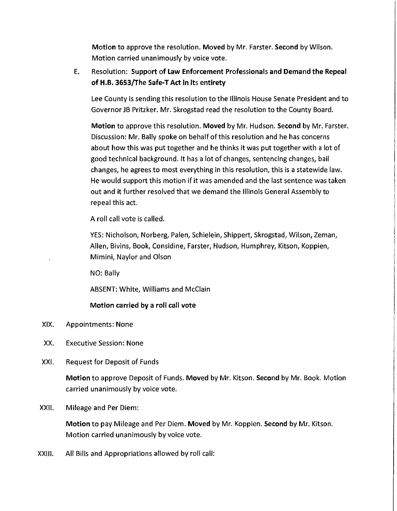**Motion** to approve the resolution. **Moved** by Mr. Farster. **Second** by Wilson. Motion carried unanimously by voice vote.

### E. Resolution: **Support of Law Enforcement Professionals and Demand the Repeal of H.B. 3653/The Safe-T Act in its entirety**

Lee County is sending this resolution to the Illinois House Senate President and to Governor JB Pritzker. Mr. Skrogstad read the resolution to the County Board.

**Motion** to approve this resolution. **Moved** by Mr. Hudson. **Second** by Mr. Farster. Discussion: Mr. Bally spoke on behalf of this resolution and he has concerns about how this was put together and he thinks it was put together with a lot of good technical background. It has a lot of changes, sentencing changes, bail changes, he agrees to most everything in this resolution, this is a statewide law. He would support this motion if it was amended and the last sentence was taken out and it further resolved that we demand the Illinois General Assembly to repeal this act.

A roll call vote is called.

YES: Nicholson, Norberg, Palen, Schielein, Shippert, Skrogstad, Wilson, Zeman, Allen, Bivins, Book, Considine, Farster, Hudson, Humphrey, Kitson, Koppien, Mimini, Naylor and Olson

NO: Bally

ABSENT: White, Williams and McClain

#### Motion carried by a roll call vote

- XIX. Appointments: None
- XX. Executive Session: None
- XXI. Request for Deposit of Funds

**Motion** to approve Deposit of Funds. **Moved** by Mr. Kitson. **Second** by Mr. Book. Motion carried unanimously by voice vote.

XXII. Mileage and Per Diem:

**Motion** to pay Mileage and Per Diem. **Moved** by Mr. Koppien. **Second** by Mr. Kitson. Motion carried unanimously by voice vote.

XXIII. All Bills and Appropriations allowed by roll call: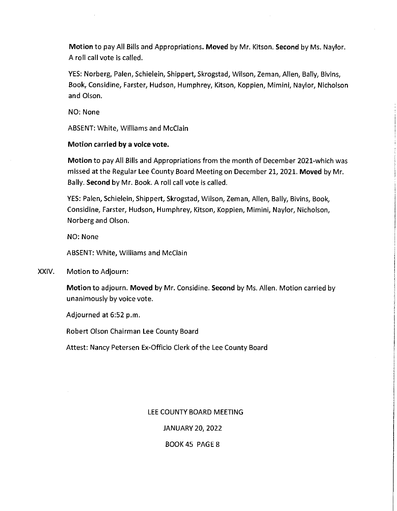**Motion** to pay All Bills and Appropriations. **Moved** by Mr. Kitson. **Second** by Ms. Naylor. A roll call vote is called.

YES: Norberg, Palen, Schielein, Shippert, Skrogstad, Wilson, Zeman, Allen, Bally, Bivins, Book, Considine, Farster, Hudson, Humphrey, Kitson, Koppien, Mimini, Naylor, Nicholson and Olson.

NO: None

ABSENT: White, Williams and McClain

#### **Motion carried by a voice vote.**

**Motion** to pay All Bills and Appropriations from the month of December 2021-which was missed at the Regular Lee County Board Meeting on December 21, 2021. **Moved** by Mr. Bally. **Second** by Mr. Book. A roll call vote is called.

YES: Palen, Schielein, Shippert, Skrogstad, Wilson, Zeman, Allen, Bally, Bivins, Book, Considine, Farster, Hudson, Humphrey, Kitson, Koppien, Mimini, Naylor, Nicholson, Norberg and Olson.

NO: None

ABSENT: White, Williams and McClain

XXIV. Motion to Adjourn:

**Motion** to adjourn. **Moved** by Mr. Considine. **Second** by Ms. Allen. Motion carried by unanimously by voice vote.

Adjourned at 6:52 p.m.

Robert Olson Chairman Lee County Board

Attest: Nancy Petersen Ex-Officio Clerk of the Lee County Board

#### LEE COUNTY BOARD MEETING

JANUARY 20, 2022

#### BOOK 45 PAGE 8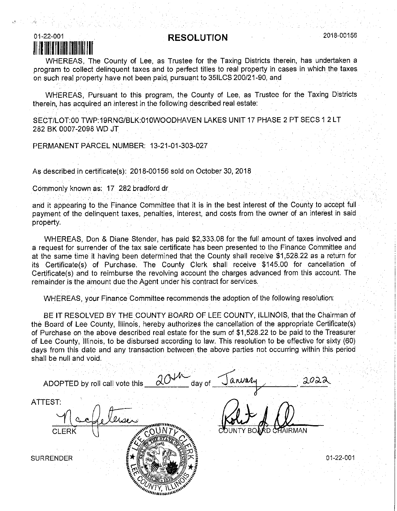### **RESOLUTION** 2018-00156



WHEREAS, The County of Lee, as Trustee for the Taxing Districts therein, has undertaken a program to collect delinquent taxes and to perfect titles to real property in cases in which the taxes on such real property have not been paid, pursuant to 35ILCS 200/21-90, and

WHEREAS, Pursuant to this program, the County of Lee, as Trustee for the Taxing Districts therein, has acquired an interest in the following described real estate:

SECT/LOT:00 TWP:19RNG/BLK:010WOODHAVEN LAKES UNIT 17 PHASE 2 PT SECS 1 2 LT 282 BK 0007-2096 WD JT

PERMANENT PARCEL NUMBER: 13-21-01-303-027

As described in certificate(s): 2018-00156 sold on October 30, 2018

Commonly known as: 17 282 bradford dr

and it appearing to the Finance Committee that it is in the best interest of the County to accept full payment of the delinquent taxes, penalties, interest, and costs from the owner of an interest in said property.

WHEREAS, Don & Diane Stender, has paid \$2,333.08 for the full amount of taxes involved and a request for surrender of the tax sale certificate has been presented to the Finance Committee and at the same time it having been determined that the County shall receive \$1,528.22 as a return for its Certificate(s) of Purchase. The County Clerk shall receive \$145.00 for cancellation of Certificate(s) and to reimburse the revolving account the charges advanced from this account. The remainder is the amount due the Agent under his contract for services.

WHEREAS, your Finance Committee recommends the adoption of the following resolution:

BE IT RESOLVED BY THE COUNTY BOARD OF LEE COUNTY, ILLINOIS, that the Chairman of the Board of Lee County, Illinois, hereby authorizes the cancellation of the appropriate Certificate(s) of Purchase on the above described real estate for the sum of \$1,528.22 to be paid to the Treasurer of Lee County, Illinois, to be disbursed according to law. This resolution to be effective for sixty (60) days from this date and any transaction between the above parties not occurring within this period shall be null and void.

| 204<br>ADOPTED by roll call vote this<br>day of | arvaly |           |
|-------------------------------------------------|--------|-----------|
| ATTEST:<br><b>CLERK</b>                         |        | CHAIRMAN  |
| <b>SURRENDER</b>                                |        | 01-22-001 |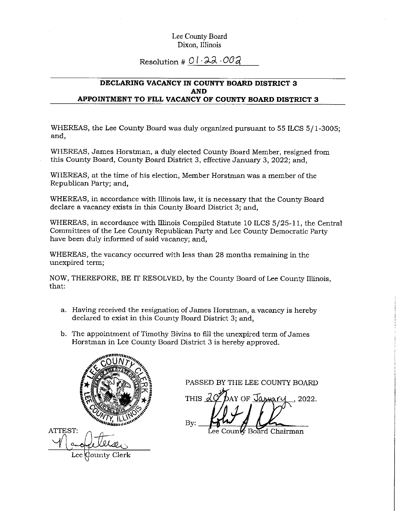## Resolution #  $01.22.002$

#### **DECLARING VACANCY IN COUNTY BOARD DISTRICT 3 AND APPOINTMENT TO FILL VACANCY OF COUNTY BOARD DISTRICT 3**

WHEREAS, the Lee County Board was duly organized pursuant to 55 ILCS 5/ 1-3005; and,

WHEREAS, James Horstman, a duly elected County Board Member, resigned from this County Board, County Board District 3, effective January 3, 2022; and,

WHEREAS, at the time of his election, Member Horstman was a member of the Republican Party; and,

WHEREAS, in accordance with Illinois law, it is necessary that the County Board declare a vacancy exists in this County Board District 3; and,

WHEREAS, in accordance with Illinois Compiled Statute 10 ILCS 5/25-11, the Central Committees of the Lee County Republican Party and Lee County Democratic Party have been duly informed of said vacancy; and,

WHEREAS, the vacancy occurred with less than 28 months remaining in the unexpired term;

NOW, THEREFORE, BE IT RESOLVED, by the County Board of Lee County Illinois, that:

- a. Having received the resignation of James Horstman, a vacancy is hereby declared to exist in this County Board District 3; and,
- b. The appointment of Timothy Bivins to fill the unexpired term of James Horstman in Lee County Board District 3 is hereby approved.



ATTEST: County Clerk) Lee

PASSED BY THE LEE COUNTY BOARD

THIS  $\lambda$ AY OF January 2022. Bv.

Board Chairman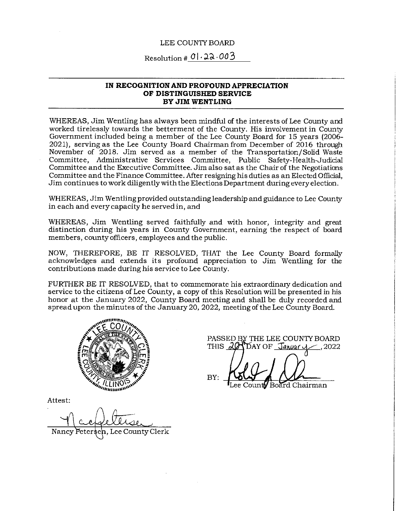#### LEE COUNTY BOARD

Resolution #  $0$  . 22.003

#### **IN RECOGNITION AND PROFOUND APPRECIATION OF DISTINGUISHED SERVICE BY JIM WENTLING**

WHEREAS, Jim Wentling has always been mindful of the interests of Lee County and worked tirelessly towards the betterment of the County. His involvement in County Government included being a member of the Lee County Board for 15 years (2006- 2021), serving as the Lee County Board Chairman from December of 2016 through November of 2018. Jim served as a member of the Transportation/Solid Waste Committee, Administrative Services Committee, Public Safety-Health-Judicial Committee and the Executive Committee. Jim also sat as the Chair of the Negotiations Committee and the Finance Committee. After resigning his duties as an Elected Official, Jim continues to work diligently with the Elections Department during every election.

WHEREAS, Jim Wentling provided outstanding leadership and guidance to Lee County in each and every capacity he served in, and

WHEREAS, Jim Wentling served faithfully and with honor, integrity and great distinction during his years in County Government, earning the respect of board members, county officers, employees and the public.

NOW, THEREFORE, BE IT RESOLVED, THAT the Lee County Board formally acknowledges and extends its profound appreciation to Jim Wentling for the contributions made during his service to Lee County.

FURTHER BE IT RESOLVED, that to commemorate his extraordinary dedication and service to the citizens of Lee County, a copy of this Resolution will be presented in his honor at the January 2022, County Board meeting and shall be duly recorded and spread upon the minutes of the January 20, 2022, meeting of the Lee County Board.



PASSED BY THE LEE COUNTY BOARD THIS  $20$  $\overline{\text{DAY OF}}$  Jahuar  $\sim$ ,2022

BY: Board Chairman ee Count**iv** 

Attest:

Lee County Clerk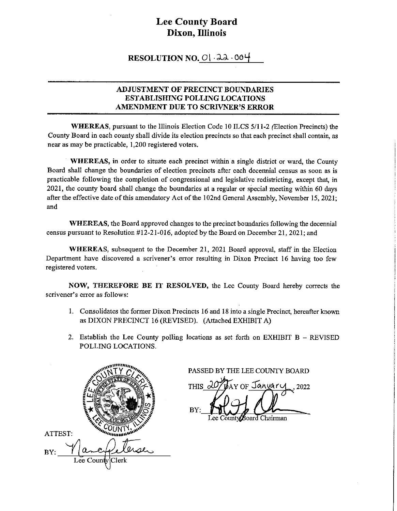#### **RESOLUTION NO. 0 | 22 .004**

#### **ADJUSTMENT OF PRECINCT BOUNDARIES ESTABLISHING POLLING LOCATIONS AMENDMENT DUE TO SCRIVNER'S ERROR**

**WHEREAS,** pursuant to the Illinois Election Code 10 ILCS 5/11-2 (Election Precincts) the County Board in each county shall divide its election precincts so that each precinct shall contain, as near as may be practicable, 1,200 registered voters.

**WHEREAS,** in order to situate each precinct within a single district or ward, the County Board shall change the boundaries of election precincts after each decennial census as soon as is practicable following the completion of congressional and legislative redistricting, except that, in 2021, the county board shall change the boundaries at a regular or special meeting within 60 days after the effective date of this amendatory Act of the 102nd General Assembly, November 15, 2021; and

**WHEREAS,** the Board approved changes to the precinct boundaries following the decennial census pursuant to Resolution #12-21-016, adopted by the Board on December 21, 2021; and

**WHEREAS,** subsequent to the December 21, 2021 Board approval, staff in the Election Department have discovered a scrivener's error resulting in Dixon Precinct 16 having too few registered voters.

**NOW, THEREFORE BE IT RESOLVED,** the Lee County Board hereby corrects the scrivener's error as follows:

- I. Consolidates the former Dixon Precincts 16 and 18 into a single Precinct, hereafter known as DIXON PRECINCT 16 (REVISED). (Attached EXHIBIT A)
- 2. Establish the Lee County polling locations as set forth on EXHIBIT  $B REVISED$ POLLING LOCATIONS.



PASSED BY THE LEE COUNTY BOARD

THIS c nf Januar BY Board Chairman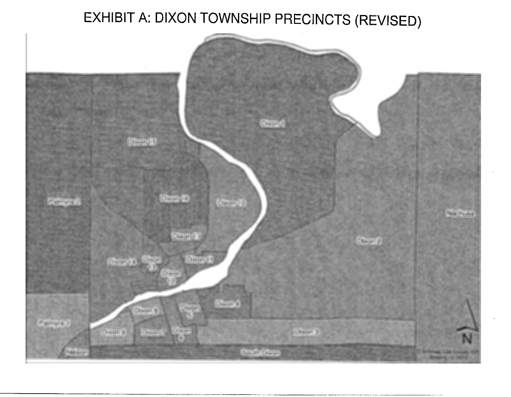# EXHIBIT A: DIXON TOWNSHIP PRECINCTS (REVISED)

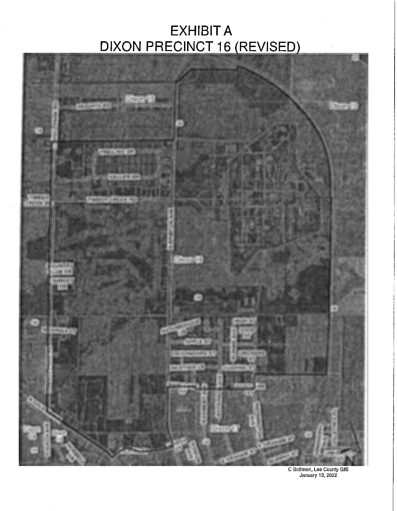## EXHIBIT A DIXON PRECINCT 16 (REVISED)



C Bollman, Lee County GIS January 13, 2022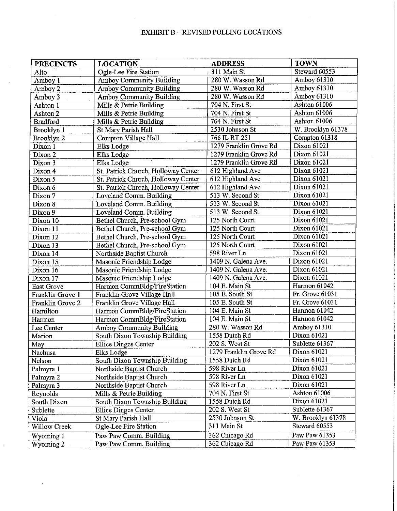#### EXHIBIT B - REVISED POLLING LOCATIONS

 $\sim$ 

 $\bar{z}$ 

| <b>PRECINCTS</b>    | <b>LOCATION</b>                     | <b>ADDRESS</b>         | <b>TOWN</b>       |
|---------------------|-------------------------------------|------------------------|-------------------|
| Alto                | Ogle-Lee Fire Station               | 311 Main St            | Steward 60553     |
| Amboy 1             | <b>Amboy Community Building</b>     | 280 W. Wasson Rd       | Amboy 61310       |
| Amboy 2             | <b>Amboy Community Building</b>     | 280 W. Wasson Rd       | Amboy 61310       |
| Amboy 3             | Amboy Community Building            | 280 W. Wasson Rd       | Amboy 61310       |
| Ashton 1            | Mills & Petrie Building             | 704 N. First St        | Ashton 61006      |
| Ashton 2            | Mills & Petrie Building             | 704 N. First St        | Ashton 61006      |
| <b>Bradford</b>     | Mills & Petrie Building             | 704 N. First St        | Ashton 61006      |
| Brooklyn 1          | St Mary Parish Hall                 | 2530 Johnson St        | W. Brooklyn 61378 |
| Brooklyn 2          | Compton Village Hall                | 766 IL RT 251          | Compton 61318     |
| Dixon 1             | Elks Lodge                          | 1279 Franklin Grove Rd | Dixon 61021       |
| Dixon 2             | Elks Lodge                          | 1279 Franklin Grove Rd | Dixon 61021       |
| Dixon 3             | Elks Lodge                          | 1279 Franklin Grove Rd | Dixon 61021       |
| Dixon 4             | St. Patrick Church, Holloway Center | 612 Highland Ave       | Dixon 61021       |
| Dixon 5             | St. Patrick Church, Holloway Center | 612 Highland Ave       | Dixon 61021       |
| Dixon 6             | St. Patrick Church, Holloway Center | 612 Highland Ave       | Dixon 61021       |
| Dixon 7             | Loveland Comm. Building             | 513 W. Second St       | Dixon 61021       |
| Dixon 8             | Loveland Comm. Building             | 513 W. Second St       | Dixon 61021       |
| Dixon 9             | Loveland Comm. Building             | 513 W. Second St       | Dixon 61021       |
| Dixon 10            | Bethel Church, Pre-school Gym       | 125 North Court        | Dixon 61021       |
| Dixon 11            | Bethel Church, Pre-school Gym       | 125 North Court        | Dixon 61021       |
| Dixon 12            | Bethel Church, Pre-school Gym       | 125 North Court        | Dixon 61021       |
| Dixon 13            | Bethel Church, Pre-school Gym       | 125 North Court        | Dixon 61021       |
| Dixon 14            | Northside Baptist Church            | 598 River Ln           | Dixon 61021       |
| Dixon 15            | Masonic Friendship Lodge            | 1409 N. Galena Ave.    | Dixon 61021       |
| Dixon 16            | Masonic Friendship Lodge            | 1409 N. Galena Ave.    | Dixon 61021       |
| Dixon 17            | Masonic Friendship Lodge            | 1409 N. Galena Ave.    | Dixon 61021       |
| <b>East Grove</b>   | Harmon CommBldg/FireStation         | 104 E. Main St         | Harmon 61042      |
| Franklin Grove 1    | Franklin Grove Village Hall         | 105 E. South St        | Fr. Grove 61031   |
| Franklin Grove 2    | Franklin Grove Village Hall         | 105 E. South St        | Fr. Grove 61031   |
| Hamilton            | Harmon CommBldg/FireStation         | 104 E. Main St         | Harmon 61042      |
| Harmon              | Harmon CommBidg/FireStation         | 104 E. Main St         | Harmon 61042      |
| Lee Center          | Amboy Community Building            | 280 W. Wasson Rd       | Amboy 61310       |
| Marion              | South Dixon Township Building       | 1558 Dutch Rd          | Dixon 61021       |
| May                 | <b>Ellice Dinges Center</b>         | 202 S. West St         | Sublette 61367    |
| Nachusa             | Elks Lodge                          | 1279 Franklin Grove Rd | Dixon 61021       |
| Nelson              | South Dixon Township Building       | 1558 Dutch Rd          | Dixon 61021       |
| Palmyra 1           | Northside Baptist Church            | 598 River Ln           | Dixon 61021       |
| Palmyra 2           | Northside Baptist Church            | 598 River Ln           | Dixon 61021       |
| Palmyra 3           | Northside Baptist Church            | 598 River Ln           | Dixon 61021       |
| Reynolds            | Mills & Petrie Building             | 704 N. First St        | Ashton 61006      |
| South Dixon         | South Dixon Township Building       | 1558 Dutch Rd          | Dixon 61021       |
| Sublette            | Ellice Dinges Center                | 202 S. West St         | Sublette 61367    |
| Viola               | St Mary Parish Hall                 | 2530 Johnson St        | W. Brooklyn 61378 |
| <b>Willow Creek</b> | Ogle-Lee Fire Station               | 311 Main St            | Steward 60553     |
| Wyoming 1           | Paw Paw Comm. Building              | 362 Chicago Rd         | Paw Paw 61353     |
| Wyoming 2           | Paw Paw Comm. Building              | 362 Chicago Rd         | Paw Paw 61353     |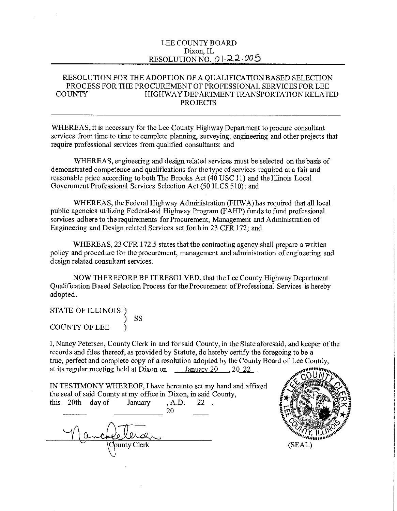#### LEE COUNTY BOARD Dixon, IL RESOLUTION NO. 0122.005

#### RESOLUTION FOR THE ADOPTION OF A QUALIFICATION BASED SELECTION PROCESS FOR THE PROCUREMENT OF PROFESSIONAL SERVICES FOR LEE COUNTY HIGHWAY DEPARTMENT TRANSPORTATION RELATED PROJECTS

WHEREAS, it is necessary for the Lee County Highway Department to procure consultant services from time to time to complete planning, surveying, engineering and other projects that require professional services from qualified consultants; and

WHEREAS, engineering and design related services must be selected on the basis of demonstrated competence and qualifications for the type of services required at a fair and reasonable price according to both The Brooks Act ( 40 USC 11) and the Illinois Local Government Professional Services Selection Act (50 ILCS 510); and

WHEREAS, the Federal Highway Administration (FHWA) has required that all local public agencies utilizing Federal-aid Highway Program (FAHP) funds to fund professional services adhere to the requirements for Procurement, Management and Administration of Engineering and Design related Services set forth in 23 CFR 172; and

WHEREAS, 23 CFR 172.5 states that the contracting agency shall prepare a written policy and procedure for the procurement, management and administration of engineering and design related consultant services.

NOW THEREFORE BE IT RESOLVED, that the Lee County Highway Department Qualification Based Selection Process for the Procurement of Professional Services is hereby adopted.

STATE OF ILLINOIS) ) ss COUNTY OF LEE )

I, Nancy Petersen, County Clerk in and for said County, in the State aforesaid, and keeper of the records and files thereof, as provided by Statute, do hereby certify the foregoing to be a true, perfect and complete copy of a resolution adopted by the County Board of Lee County, at its regular meeting held at Dixon on January 20 , 20 22 .

IN TESTIMONY WHEREOF, I have hereunto set my hand and affixed the seal of said County at my office in Dixon, in said County, this 20th day of January , A.D. 22 .  $\frac{1}{20}$ <br> $\frac{1}{20}$ 

ounty Clerk

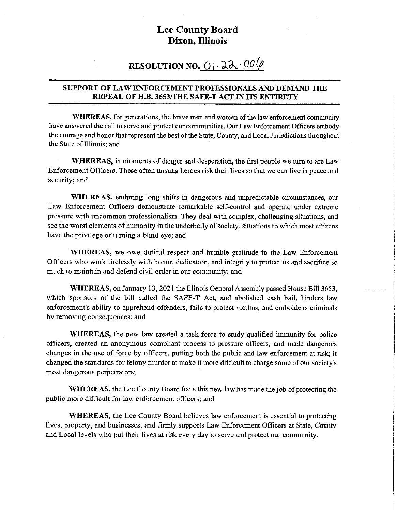## **RESOLUTION NO.**  $\frac{0!}{2}$ **. 00** $\varphi$

#### **SUPPORT OF LAW ENFORCEMENT PROFESSIONALS AND DEMAND THE REPEAL OF H.B. 3653/THE SAFE-TACT IN ITS ENTIRETY**

**WHEREAS,** for generations, the brave men and women of the law enforcement community have answered the call to serve and protect our communities. Our Law Enforcement Officers embody the courage and honor that represent the best of the State, County, and Local Jurisdictions throughout the State of Illinois; and

**WHEREAS,** in moments of danger and desperation, the first people we tum to are Law Enforcement Officers. These often unsung heroes risk their lives so that we can live in peace and security; and

**WHEREAS,** enduring long shifts in dangerous and unpredictable circumstances, our Law Enforcement Officers demonstrate remarkable self-control and operate under extreme pressure with uncommon professionalism. They deal with complex, challenging situations, and see the worst elements of humanity in the underbelly of society, situations to which most citizens have the privilege of turning a blind eye; and

**WHEREAS,** we owe dutiful respect and humble gratitude to the Law Enforcement Officers who work tirelessly with honor, dedication, and integrity to protect us and sacrifice so much to maintain and defend civil order in our community; and

**WHEREAS,** on January 13, 2021 the Illinois General Assembly passed House Bill 3653, which sponsors of the bill called the SAFE-T Act, and abolished cash bail, hinders law enforcement's ability to apprehend offenders, fails to protect victims, and emboldens criminals by removing consequences; and

**WHEREAS,** the new law created a task force to study qualified immunity for police officers, created an anonymous compliant process to pressure officers, and made dangerous changes in the use of force by officers, putting both the public and law enforcement at risk; it changed the standards for felony murder to make it more difficult to charge some of our society's most dangerous perpetrators;

**WHEREAS,** the Lee County Board feels this new law has made the job of protecting the public more difficult for law enforcement officers; and

**WHEREAS,** the Lee County Board believes law enforcement is essential to protecting lives, property, and businesses, and firmly supports Law Enforcement Officers at State, County and Local levels who put their lives at risk every day to serve and protect our community.